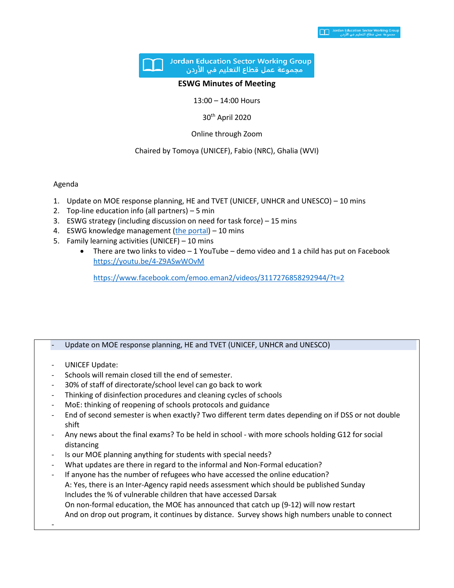

## **ESWG Minutes of Meeting**

13:00 – 14:00 Hours

30th April 2020

Online through Zoom

## Chaired by Tomoya (UNICEF), Fabio (NRC), Ghalia (WVI)

## Agenda

- 1. Update on MOE response planning, HE and TVET (UNICEF, UNHCR and UNESCO) 10 mins
- 2. Top-line education info (all partners) 5 min
- 3. ESWG strategy (including discussion on need for task force) 15 mins
- 4. ESWG knowledge management [\(the portal\)](https://eur02.safelinks.protection.outlook.com/?url=https%3A%2F%2Fdata2.unhcr.org%2Fen%2Fworking-group%2F45&data=02%7C01%7Chaddade%40unhcr.org%7Cb064bb67096744eeaaac08d7ec5df214%7Ce5c37981666441348a0c6543d2af80be%7C0%7C0%7C637237761564927394&sdata=YaRJ8mYkeg9RLWse0hN2RTKFRC0T7e3bIU0Bpbi7slc%3D&reserved=0) 10 mins
- 5. Family learning activities (UNICEF) 10 mins
	- There are two links to video  $-1$  YouTube demo video and 1 a child has put on Facebook [https://youtu.be/4-Z9ASwWOvM](https://eur02.safelinks.protection.outlook.com/?url=https%3A%2F%2Fyoutu.be%2F4-Z9ASwWOvM&data=02%7C01%7Chaddade%40unhcr.org%7Cb064bb67096744eeaaac08d7ec5df214%7Ce5c37981666441348a0c6543d2af80be%7C0%7C0%7C637237761564927394&sdata=CRlXZRjX7UlTbA8biENLXMu0j5UG3JQzqAwc7cQ7iNU%3D&reserved=0)

[https://www.facebook.com/emoo.eman2/videos/3117276858292944/?t=2](https://eur02.safelinks.protection.outlook.com/?url=https%3A%2F%2Fwww.facebook.com%2Femoo.eman2%2Fvideos%2F3117276858292944%2F%3Ft%3D2&data=02%7C01%7Chaddade%40unhcr.org%7Cb064bb67096744eeaaac08d7ec5df214%7Ce5c37981666441348a0c6543d2af80be%7C0%7C0%7C637237761564937387&sdata=brk8hiNd0FfYy4DOsOTtqV8mtYeRWJs0qJAkJ5fMtgM%3D&reserved=0)

## - Update on MOE response planning, HE and TVET (UNICEF, UNHCR and UNESCO)

- UNICEF Update:
- Schools will remain closed till the end of semester.
- 30% of staff of directorate/school level can go back to work
- Thinking of disinfection procedures and cleaning cycles of schools
- MoE: thinking of reopening of schools protocols and guidance
- End of second semester is when exactly? Two different term dates depending on if DSS or not double shift
- Any news about the final exams? To be held in school with more schools holding G12 for social distancing
- Is our MOE planning anything for students with special needs?
- What updates are there in regard to the informal and Non-Formal education?
- If anyone has the number of refugees who have accessed the online education? A: Yes, there is an Inter-Agency rapid needs assessment which should be published Sunday Includes the % of vulnerable children that have accessed Darsak On non-formal education, the MOE has announced that catch up (9-12) will now restart And on drop out program, it continues by distance. Survey shows high numbers unable to connect -